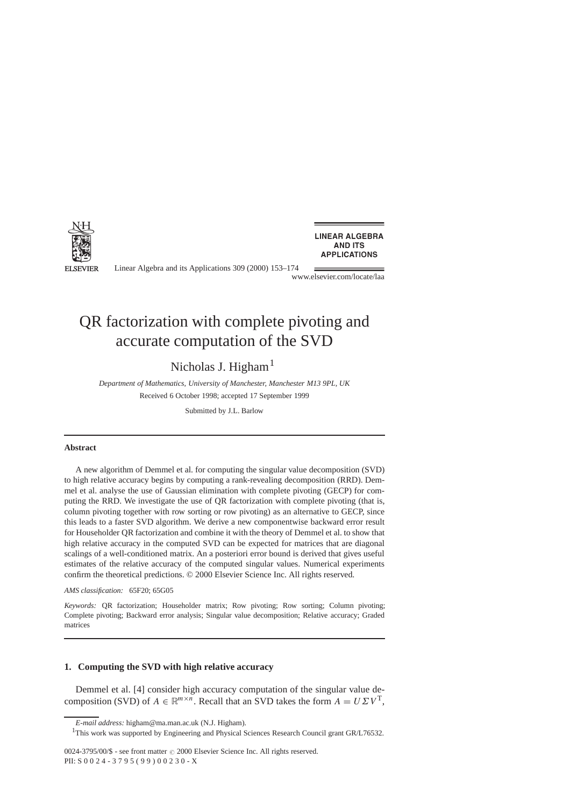

Linear Algebra and its Applications 309 (2000) 153–174

www.elsevier.com/locate/laa

# QR factorization with complete pivoting and accurate computation of the SVD

# Nicholas J. Higham<sup>1</sup>

*Department of Mathematics, University of Manchester, Manchester M13 9PL, UK* Received 6 October 1998; accepted 17 September 1999

Submitted by J.L. Barlow

#### **Abstract**

A new algorithm of Demmel et al. for computing the singular value decomposition (SVD) to high relative accuracy begins by computing a rank-revealing decomposition (RRD). Demmel et al. analyse the use of Gaussian elimination with complete pivoting (GECP) for computing the RRD. We investigate the use of QR factorization with complete pivoting (that is, column pivoting together with row sorting or row pivoting) as an alternative to GECP, since this leads to a faster SVD algorithm. We derive a new componentwise backward error result for Householder QR factorization and combine it with the theory of Demmel et al. to show that high relative accuracy in the computed SVD can be expected for matrices that are diagonal scalings of a well-conditioned matrix. An a posteriori error bound is derived that gives useful estimates of the relative accuracy of the computed singular values. Numerical experiments confirm the theoretical predictions. © 2000 Elsevier Science Inc. All rights reserved.

*AMS classification:* 65F20; 65G05

*Keywords:* QR factorization; Householder matrix; Row pivoting; Row sorting; Column pivoting; Complete pivoting; Backward error analysis; Singular value decomposition; Relative accuracy; Graded matrices

# **1. Computing the SVD with high relative accuracy**

Demmel et al. [4] consider high accuracy computation of the singular value decomposition (SVD) of  $A \in \mathbb{R}^{m \times n}$ . Recall that an SVD takes the form  $A = U \Sigma V^{T}$ ,

*E-mail address:* higham@ma.man.ac.uk (N.J. Higham).

<sup>&</sup>lt;sup>1</sup>This work was supported by Engineering and Physical Sciences Research Council grant GR/L76532.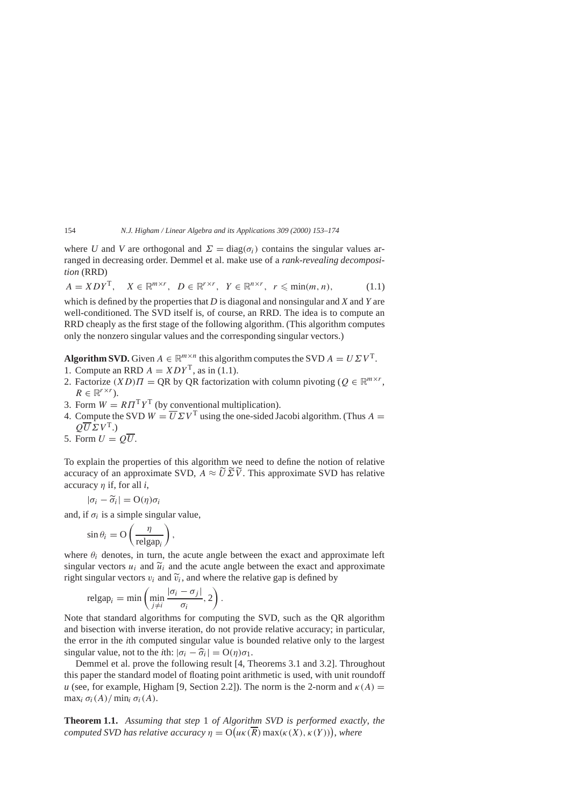where *U* and *V* are orthogonal and  $\Sigma = diag(\sigma_i)$  contains the singular values arranged in decreasing order. Demmel et al. make use of a *rank-revealing decomposition* (RRD)

$$
A = XDY^{\mathrm{T}}, \quad X \in \mathbb{R}^{m \times r}, \ D \in \mathbb{R}^{r \times r}, \ Y \in \mathbb{R}^{n \times r}, \ r \leq \min(m, n), \tag{1.1}
$$

which is defined by the properties that *D* is diagonal and nonsingular and *X* and *Y* are well-conditioned. The SVD itself is, of course, an RRD. The idea is to compute an RRD cheaply as the first stage of the following algorithm. (This algorithm computes only the nonzero singular values and the corresponding singular vectors.)

**Algorithm SVD.** Given  $A \in \mathbb{R}^{m \times n}$  this algorithm computes the SVD  $A = U \Sigma V^{T}$ .

- 1. Compute an RRD  $A = XDY^T$ , as in (1.1).
- 2. Factorize  $(XD)$  $\Pi = QR$  by QR factorization with column pivoting  $(Q \in \mathbb{R}^{m \times r})$ .  $R \in \mathbb{R}^{r \times r}$ .
- 3. Form  $W = R\Pi^{T}Y^{T}$  (by conventional multiplication).
- 4. Compute the SVD  $W = U \Sigma V^{\text{T}}$  using the one-sided Jacobi algorithm. (Thus  $A =$  $\overline{OU} \Sigma V^{T}$ .)
- 5. Form  $U = O\overline{U}$ .

To explain the properties of this algorithm we need to define the notion of relative accuracy of an approximate SVD,  $A \approx \widetilde{U} \widetilde{\Sigma} \widetilde{V}$ . This approximate SVD has relative accuracy *η* if, for all *i*,

$$
|\sigma_i - \widetilde{\sigma}_i| = O(\eta)\sigma_i
$$

 $|\sigma_i - \tilde{\sigma}_i| = O(\eta)\sigma_i$ <br>and, if  $\sigma_i$  is a simple singular value,

$$
\sin \theta_i = \mathcal{O}\left(\frac{\eta}{\mathrm{relgap}_i}\right),\,
$$

where  $\theta_i$  denotes, in turn, the acute angle between the exact and approximate left singular vectors  $u_i$  and  $\tilde{u}_i$  and the acute angle between the exact and approximate right singular vectors  $v_i$  and  $\tilde{v}_i$ , and where the relative gap is defined by

$$
\operatorname{relgap}_i = \min\left(\min_{j\neq i} \frac{|\sigma_i - \sigma_j|}{\sigma_i}, 2\right).
$$

Note that standard algorithms for computing the SVD, such as the QR algorithm and bisection with inverse iteration, do not provide relative accuracy; in particular, the error in the *i*th computed singular value is bounded relative only to the largest singular value, not to the *i*th:  $|\sigma_i - \hat{\sigma}_i| = O(\eta)\sigma_1$ .

Demmel et al. prove the following result [4, Theorems 3.1 and 3.2]. Throughout this paper the standard model of floating point arithmetic is used, with unit roundoff *u* (see, for example, Higham [9, Section 2.2]). The norm is the 2-norm and  $\kappa(A)$  = max<sub>i</sub>  $\sigma_i(A)/$  min<sub>i</sub>  $\sigma_i(A)$ .

**Theorem 1.1.** *Assuming that step* 1 *of Algorithm SVD is performed exactly*, *the computed SVD has relative accuracy*  $\eta = O(u\kappa(\overline{R}) \max(\kappa(X), \kappa(Y)))$ , where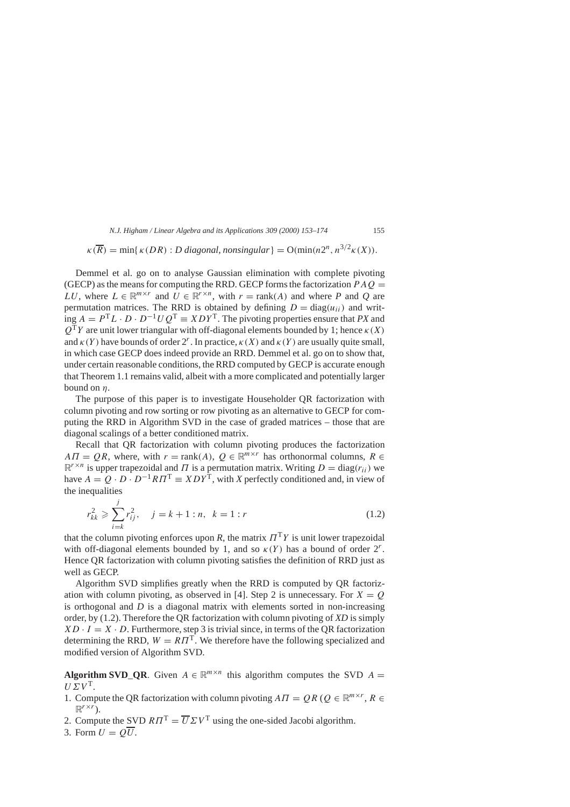$$
\kappa(\overline{R}) = \min\{\kappa(DR) : D \text{ diagonal}, \text{nonsingular}\} = O(\min(n2^n, n^{3/2}\kappa(X)).
$$

Demmel et al. go on to analyse Gaussian elimination with complete pivoting (GECP) as the means for computing the RRD. GECP forms the factorization  $P A Q =$ *LU*, where  $L \in \mathbb{R}^{m \times r}$  and  $U \in \mathbb{R}^{r \times n}$ , with  $r = \text{rank}(A)$  and where *P* and *Q* are permutation matrices. The RRD is obtained by defining  $D = diag(u_{ii})$  and writ- $\lim_{\Delta} A = P^{T}L \cdot D \cdot D^{-1}UQ^{T} = XDY^{T}$ . The pivoting properties ensure that *PX* and  $Q^{T}Y$  are unit lower triangular with off-diagonal elements bounded by 1; hence  $\kappa(X)$ and  $\kappa(Y)$  have bounds of order  $2^r$ . In practice,  $\kappa(X)$  and  $\kappa(Y)$  are usually quite small, in which case GECP does indeed provide an RRD. Demmel et al. go on to show that, under certain reasonable conditions, the RRD computed by GECP is accurate enough that Theorem 1.1 remains valid, albeit with a more complicated and potentially larger bound on *η*.

The purpose of this paper is to investigate Householder QR factorization with column pivoting and row sorting or row pivoting as an alternative to GECP for computing the RRD in Algorithm SVD in the case of graded matrices – those that are diagonal scalings of a better conditioned matrix.

Recall that QR factorization with column pivoting produces the factorization *AΠ* = *QR*, where, with  $r = \text{rank}(A)$ ,  $Q \in \mathbb{R}^{m \times r}$  has orthonormal columns,  $R \in$  $\mathbb{R}^{r \times n}$  is upper trapezoidal and *Π* is a permutation matrix. Writing  $D = \text{diag}(r_{ii})$  we have  $A = Q \cdot D \cdot D^{-1} R \Pi^{T} \equiv X D Y^{\hat{T}}$ , with *X* perfectly conditioned and, in view of the inequalities

$$
r_{kk}^2 \geqslant \sum_{i=k}^{j} r_{ij}^2, \quad j = k+1:n, \ k = 1:r
$$
 (1.2)

that the column pivoting enforces upon *R*, the matrix  $\Pi^{T}Y$  is unit lower trapezoidal with off-diagonal elements bounded by 1, and so  $\kappa(Y)$  has a bound of order  $2^r$ . Hence QR factorization with column pivoting satisfies the definition of RRD just as well as GECP.

Algorithm SVD simplifies greatly when the RRD is computed by QR factorization with column pivoting, as observed in [4]. Step 2 is unnecessary. For  $X = Q$ is orthogonal and *D* is a diagonal matrix with elements sorted in non-increasing order, by (1.2). Therefore the QR factorization with column pivoting of *XD* is simply  $XD \cdot I = X \cdot D$ . Furthermore, step 3 is trivial since, in terms of the QR factorization determining the RRD,  $W = RTT$ . We therefore have the following specialized and modified version of Algorithm SVD.

**Algorithm SVD\_QR**. Given  $A \in \mathbb{R}^{m \times n}$  this algorithm computes the SVD  $A =$  $U\Sigma V^{\rm T}$ .

- 1. Compute the QR factorization with column pivoting  $AT = QR$  ( $Q \in \mathbb{R}^{m \times r}$ ,  $R \in$  $\mathbb{R}^{r \times r}$ .
- 2. Compute the SVD  $R\Pi^T = \overline{U}\Sigma V^T$  using the one-sided Jacobi algorithm.
- 3. Form  $U = O\overline{U}$ .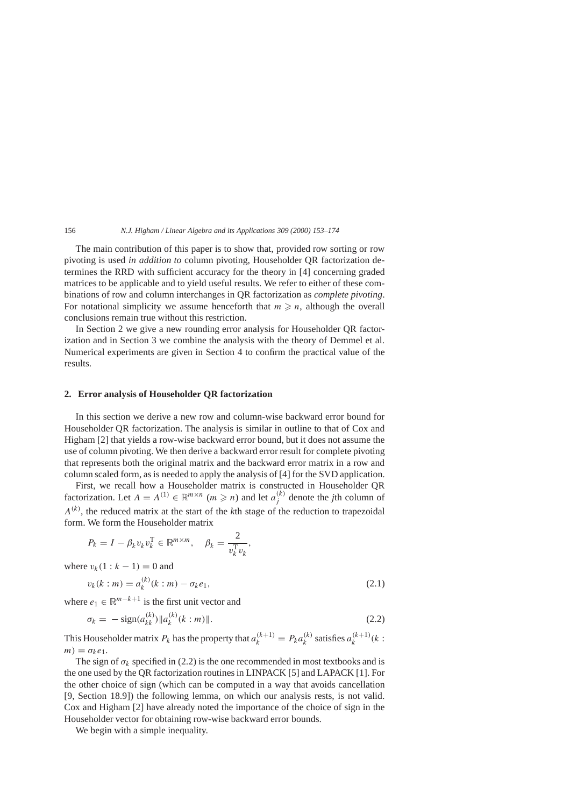The main contribution of this paper is to show that, provided row sorting or row pivoting is used *in addition to* column pivoting, Householder QR factorization determines the RRD with sufficient accuracy for the theory in [4] concerning graded matrices to be applicable and to yield useful results. We refer to either of these combinations of row and column interchanges in QR factorization as *complete pivoting*. For notational simplicity we assume henceforth that  $m \geq n$ , although the overall conclusions remain true without this restriction.

In Section 2 we give a new rounding error analysis for Householder QR factorization and in Section 3 we combine the analysis with the theory of Demmel et al. Numerical experiments are given in Section 4 to confirm the practical value of the results.

## **2. Error analysis of Householder QR factorization**

In this section we derive a new row and column-wise backward error bound for Householder QR factorization. The analysis is similar in outline to that of Cox and Higham [2] that yields a row-wise backward error bound, but it does not assume the use of column pivoting. We then derive a backward error result for complete pivoting that represents both the original matrix and the backward error matrix in a row and column scaled form, as is needed to apply the analysis of [4] for the SVD application.

First, we recall how a Householder matrix is constructed in Householder QR factorization. Let  $A = A^{(1)} \in \mathbb{R}^{m \times n}$  ( $m \ge n$ ) and let  $a_i^{(k)}$  denote the *j*th column of *A(k)*, the reduced matrix at the start of the *k*th stage of the reduction to trapezoidal form. We form the Householder matrix

$$
P_k = I - \beta_k v_k v_k^{\mathrm{T}} \in \mathbb{R}^{m \times m}, \quad \beta_k = \frac{2}{v_k^{\mathrm{T}} v_k},
$$

where  $v_k(1 : k - 1) = 0$  and

$$
v_k(k : m) = a_k^{(k)}(k : m) - \sigma_k e_1,
$$
\n(2.1)

where  $e_1 \in \mathbb{R}^{m-k+1}$  is the first unit vector and

$$
\sigma_k = -\operatorname{sign}(a_{kk}^{(k)}) \| a_k^{(k)}(k:m) \|.
$$
\n(2.2)

This Householder matrix  $P_k$  has the property that  $a_k^{(k+1)} = P_k a_k^{(k)}$  satisfies  $a_k^{(k+1)}(k)$ :  $m) = \sigma_k e_1.$ 

The sign of  $\sigma_k$  specified in (2.2) is the one recommended in most textbooks and is the one used by the QR factorization routines in LINPACK [5] and LAPACK [1]. For the other choice of sign (which can be computed in a way that avoids cancellation [9, Section 18.9]) the following lemma, on which our analysis rests, is not valid. Cox and Higham [2] have already noted the importance of the choice of sign in the Householder vector for obtaining row-wise backward error bounds.

We begin with a simple inequality.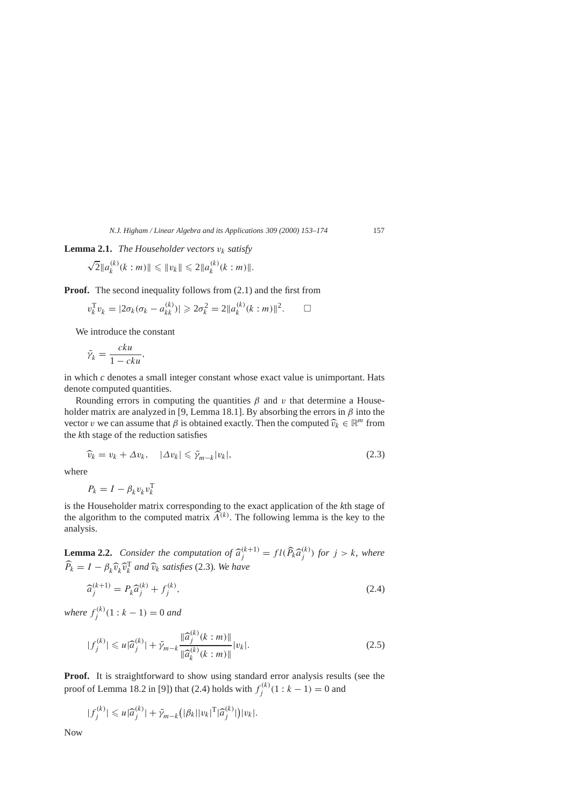**Lemma 2.1.** *The Householder vectors vk satisfy*

$$
\sqrt{2} ||a_k^{(k)}(k : m)|| \le ||v_k|| \le 2 ||a_k^{(k)}(k : m)||.
$$

**Proof.** The second inequality follows from  $(2.1)$  and the first from

$$
v_k^{\mathrm{T}} v_k = |2\sigma_k(\sigma_k - a_{kk}^{(k)})| \geq 2\sigma_k^2 = 2||a_k^{(k)}(k:m)||^2. \qquad \Box
$$

We introduce the constant

$$
\tilde{\gamma}_k = \frac{cku}{1 - cku},
$$

in which *c* denotes a small integer constant whose exact value is unimportant. Hats denote computed quantities.

Rounding errors in computing the quantities  $\beta$  and  $\nu$  that determine a Householder matrix are analyzed in [9, Lemma 18.1]. By absorbing the errors in *β* into the vector *v* we can assume that  $\beta$  is obtained exactly. Then the computed  $\widehat{v}_k \in \mathbb{R}^m$  from the *k*th stage of the reduction satisfies

$$
\widehat{v}_k = v_k + \Delta v_k, \quad |\Delta v_k| \le \widetilde{\gamma}_{m-k} |v_k|,\tag{2.3}
$$

where

$$
P_k = I - \beta_k v_k v_k^{\mathrm{T}}
$$

is the Householder matrix corresponding to the exact application of the *k*th stage of the algorithm to the computed matrix  $\widetilde{A}^{(k)}$ . The following lemma is the key to the analysis.

**Lemma 2.2.** *Consider the computation of*  $\hat{a}_j^{(k+1)} = fl(\hat{P}_k \hat{a}_j^{(k)})$  *for*  $j > k$ , *where*  $\widehat{P}_k = I - \beta_k \widehat{v}_k \widehat{v}_k^T$  *and*  $\widehat{v}_k$  *satisfies* (2.3)*. We have* 

$$
\widehat{a}_j^{(k+1)} = P_k \widehat{a}_j^{(k)} + f_j^{(k)},\tag{2.4}
$$

*where*  $f_i^{(k)}(1 : k - 1) = 0$  *and* 

$$
|f_j^{(k)}| \leq u|\widehat{a}_j^{(k)}| + \widetilde{\gamma}_{m-k} \frac{\|\widehat{a}_j^{(k)}(k:m)\|}{\|\widehat{a}_k^{(k)}(k:m)\|} |v_k|.
$$
\n(2.5)

Proof. It is straightforward to show using standard error analysis results (see the proof of Lemma 18.2 in [9]) that (2.4) holds with  $f_i^{(k)}(1 : k - 1) = 0$  and

$$
|f_j^{(k)}| \leq u|\widehat{a}_j^{(k)}| + \widetilde{\gamma}_{m-k}(|\beta_k||v_k|^{\mathrm{T}}|\widehat{a}_j^{(k)}|)|v_k|.
$$

Now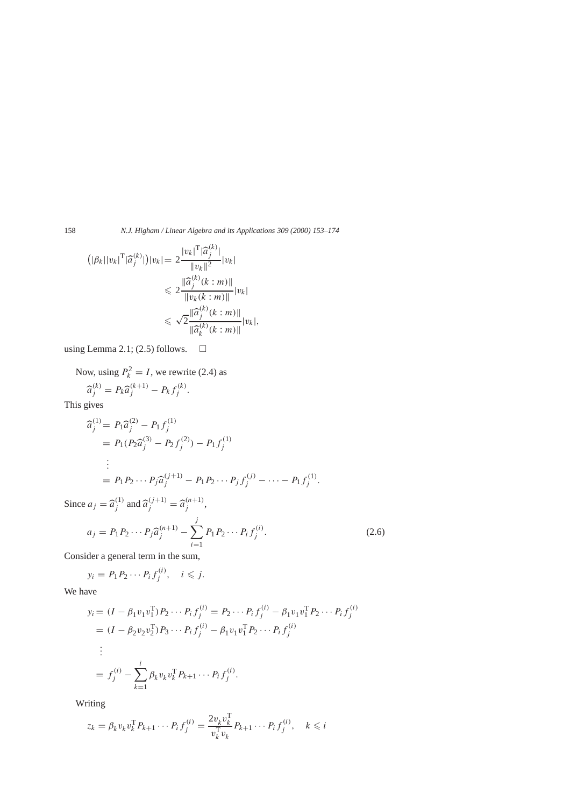158 *N.J. Higham / Linear Algebra and its Applications 309 (2000) 153–174*

$$
(|\beta_k||v_k|^{\mathrm{T}}|\hat{a}_j^{(k)}|)|v_k| = 2\frac{|v_k|^{\mathrm{T}}|\hat{a}_j^{(k)}|}{\|v_k\|^2}|v_k|
$$
  

$$
\leq 2\frac{\|\hat{a}_j^{(k)}(k:m)\|}{\|v_k(k:m)\|}|v_k|
$$
  

$$
\leq \sqrt{2}\frac{\|\hat{a}_j^{(k)}(k:m)\|}{\|\hat{a}_k^{(k)}(k:m)\|}|v_k|,
$$

using Lemma 2.1; (2.5) follows.  $\square$ 

Now, using  $P_k^2 = I$ , we rewrite (2.4) as

$$
\widehat{a}_j^{(k)} = P_k \widehat{a}_j^{(k+1)} - P_k f_j^{(k)}.
$$

This gives

$$
\begin{aligned}\n\widehat{a}_j^{(1)} &= P_1 \widehat{a}_j^{(2)} - P_1 f_j^{(1)} \\
&= P_1 (P_2 \widehat{a}_j^{(3)} - P_2 f_j^{(2)}) - P_1 f_j^{(1)} \\
&\vdots \\
&= P_1 P_2 \cdots P_j \widehat{a}_j^{(j+1)} - P_1 P_2 \cdots P_j f_j^{(j)} - \cdots - P_1 f_j^{(1)}.\n\end{aligned}
$$

Since  $a_j = \hat{a}_j^{(1)}$  and  $\hat{a}_j^{(j+1)} = \hat{a}_j^{(n+1)}$ ,

$$
a_j = P_1 P_2 \cdots P_j \hat{a}_j^{(n+1)} - \sum_{i=1}^j P_1 P_2 \cdots P_i f_j^{(i)}.
$$
 (2.6)

Consider a general term in the sum,

$$
y_i = P_1 P_2 \cdots P_i f_j^{(i)}, \quad i \leq j.
$$

We have

$$
y_i = (I - \beta_1 v_1 v_1^T) P_2 \cdots P_i f_j^{(i)} = P_2 \cdots P_i f_j^{(i)} - \beta_1 v_1 v_1^T P_2 \cdots P_i f_j^{(i)}
$$
  
=  $(I - \beta_2 v_2 v_2^T) P_3 \cdots P_i f_j^{(i)} - \beta_1 v_1 v_1^T P_2 \cdots P_i f_j^{(i)}$   
:  
=  $f_j^{(i)} - \sum_{k=1}^i \beta_k v_k v_k^T P_{k+1} \cdots P_i f_j^{(i)}$ .

Writing

$$
z_k = \beta_k v_k v_k^{\mathrm{T}} P_{k+1} \cdots P_i f_j^{(i)} = \frac{2v_k v_k^{\mathrm{T}}}{v_k^{\mathrm{T}} v_k} P_{k+1} \cdots P_i f_j^{(i)}, \quad k \leq i
$$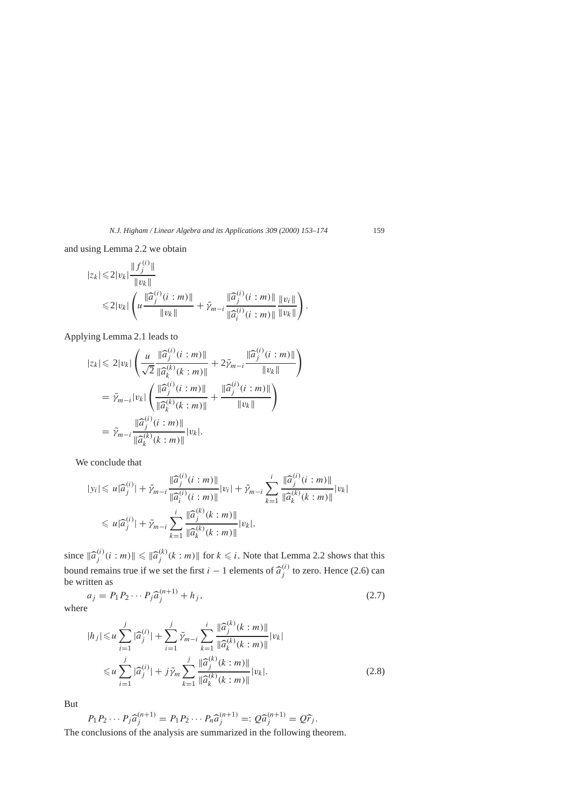and using Lemma 2.2 we obtain

$$
|z_{k}| \leq 2|v_{k}| \frac{\|f_{j}^{(i)}\|}{\|v_{k}\|} \leq 2|v_{k}| \left(u \frac{\|\widehat{a}_{j}^{(i)}(i:m)\|}{\|v_{k}\|} + \widetilde{\gamma}_{m-i} \frac{\|\widehat{a}_{j}^{(i)}(i:m)\|}{\|\widehat{a}_{i}^{(i)}(i:m)\|} \frac{\|v_{i}\|}{\|v_{k}\|}\right).
$$

Applying Lemma 2.1 leads to

$$
|z_{k}| \leq 2|v_{k}| \left( \frac{u}{\sqrt{2}} \frac{\|\widehat{a}_{j}^{(i)}(i:m)\|}{\|\widehat{a}_{k}^{(k)}(k:m)\|} + 2\widetilde{\gamma}_{m-i} \frac{\|\widehat{a}_{j}^{(i)}(i:m)\|}{\|v_{k}\|} \right)
$$
  

$$
= \widetilde{\gamma}_{m-i} |v_{k}| \left( \frac{\|\widehat{a}_{j}^{(i)}(i:m)\|}{\|\widehat{a}_{k}^{(k)}(k:m)\|} + \frac{\|\widehat{a}_{j}^{(i)}(i:m)\|}{\|v_{k}\|} \right)
$$
  

$$
= \widetilde{\gamma}_{m-i} \frac{\|\widehat{a}_{j}^{(i)}(i:m)\|}{\|\widehat{a}_{k}^{(k)}(k:m)\|} |v_{k}|.
$$

We conclude that

$$
|y_i| \leq u|\widehat{a}_j^{(i)}| + \widetilde{\gamma}_{m-i} \frac{\|\widehat{a}_j^{(i)}(i:m)\|}{\|\widehat{a}_i^{(i)}(i:m)\|} |v_i| + \widetilde{\gamma}_{m-i} \sum_{k=1}^i \frac{\|\widehat{a}_j^{(i)}(i:m)\|}{\|\widehat{a}_k^{(k)}(k:m)\|} |v_k|
$$
  

$$
\leq u|\widehat{a}_j^{(i)}| + \widetilde{\gamma}_{m-i} \sum_{k=1}^i \frac{\|\widehat{a}_j^{(k)}(k:m)\|}{\|\widehat{a}_k^{(k)}(k:m)\|} |v_k|,
$$

since  $\|\hat{a}_j^{(i)}(i:m)\| \leq \|\hat{a}_j^{(k)}(k:m)\|$  for  $k \leq i$ . Note that Lemma 2.2 shows that this bound remains true if we set the first *i* − 1 elements of  $\hat{a}^{(i)}_j$  to zero. Hence (2.6) can be written as

$$
a_j = P_1 P_2 \cdots P_j \hat{a}_j^{(n+1)} + h_j,
$$
\n(2.7)

where

$$
|h_j| \leq u \sum_{i=1}^j |\widehat{a}_j^{(i)}| + \sum_{i=1}^j \widetilde{\gamma}_{m-i} \sum_{k=1}^i \frac{\|\widehat{a}_j^{(k)}(k:m)\|}{\|\widehat{a}_k^{(k)}(k:m)\|} |v_k|
$$
  

$$
\leq u \sum_{i=1}^j |\widehat{a}_j^{(i)}| + j \widetilde{\gamma}_m \sum_{k=1}^j \frac{\|\widehat{a}_j^{(k)}(k:m)\|}{\|\widehat{a}_k^{(k)}(k:m)\|} |v_k|.
$$
 (2.8)

But

$$
P_1 P_2 \cdots P_j \hat{a}_j^{(n+1)} = P_1 P_2 \cdots P_n \hat{a}_j^{(n+1)} =: Q \hat{a}_j^{(n+1)} = Q \hat{r}_j.
$$
  
The conclusions of the analysis are summarized in the following theorem.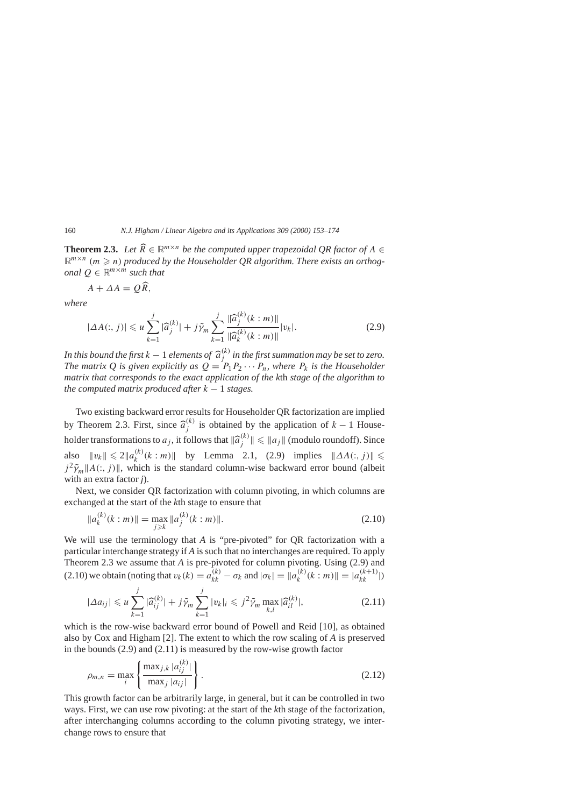**Theorem 2.3.** *Let*  $\widehat{R} \in \mathbb{R}^{m \times n}$  *be the computed upper trapezoidal QR factor of*  $A \in \mathbb{R}^{m \times n}$  ( $\ldots \geq n$ ) are developed to the *M* sure delay  $\Omega$  also without Theorem with a new developed  $\mathbb{R}^{m \times n}$  (*m*  $\geq$  *n*) produced by the Householder QR algorithm. There exists an orthog*onal*  $Q \in \mathbb{R}^{m \times m}$  *such that* 

$$
A + \Delta A = Q\widehat{R},
$$

*where*

$$
|\Delta A(:,j)| \leq u \sum_{k=1}^{j} |\widehat{a}_{j}^{(k)}| + j\widetilde{\gamma}_{m} \sum_{k=1}^{j} \frac{\|\widehat{a}_{j}^{(k)}(k:m)\|}{\|\widehat{a}_{k}^{(k)}(k:m)\|}|v_{k}|.
$$
\n(2.9)

*In this bound the first k* − 1 *elements of*  $\widehat{a}_j^{(k)}$  *in the first summation may be set to zero.*<br>*The matrix O* is given explicitly as  $O - P$ ,  $P_2$ ,  $\ldots$  *P*, where *P*, is the Householder *The matrix Q is given explicitly as*  $Q = P_1 P_2 \cdots P_n$ *, where*  $P_k$  *is the Householder matrix that corresponds to the exact application of the k*th *stage of the algorithm to the computed matrix produced after*  $k - 1$  *stages.* 

Two existing backward error results for Householder QR factorization are implied by Theorem 2.3. First, since  $\hat{a}^{(k)}_j$  is obtained by the application of  $k - 1$  Householder transformations to  $a_j$ , it follows that  $\|\widehat{a}_j^{(k)}\| \leq \|a_j\|$  (modulo roundoff). Since also  $||v_k|| \le 2||a_k^{(k)}(k : m)||$  by Lemma 2.1, (2.9) implies  $||\Delta A(:, j)|| \le$  $j^2 \tilde{\gamma}_m ||A(:,j)||$ , which is the standard column-wise backward error bound (albeit with an extra factor *j*).

Next, we consider QR factorization with column pivoting, in which columns are exchanged at the start of the *k*th stage to ensure that

$$
||a_k^{(k)}(k:m)|| = \max_{j \ge k} ||a_j^{(k)}(k:m)||. \tag{2.10}
$$

We will use the terminology that *A* is "pre-pivoted" for OR factorization with a particular interchange strategy if *A* is such that no interchanges are required. To apply Theorem 2.3 we assume that *A* is pre-pivoted for column pivoting. Using (2.9) and  $\overline{a_k}$   $\overline{a_k}$   $\overline{b_k}$   $\overline{b_k}$   $\overline{b_k}$   $\overline{b_k}$   $\overline{b_k}$   $\overline{b_k}$   $\overline{b_k}$   $\overline{b_k}$   $\overline{b_k}$   $\overline{b_k}$   $\overline{b_k}$   $\overline{b_k}$   $\overline{b_k}$   $\overline{b_k}$   $\overline{b_k}$   $\overline{b_k}$   $\overline{b_k}$   $\overline{b_k}$   $\overline{b_k}$   $\overline{b_k}$ 

$$
|\Delta a_{ij}| \leq u \sum_{k=1}^j |\widehat{a}_{ij}^{(k)}| + j\tilde{\gamma}_m \sum_{k=1}^j |v_k| \leq j^2 \tilde{\gamma}_m \max_{k,l} |\widehat{a}_{il}^{(k)}|,
$$
 (2.11)

which is the row-wise backward error bound of Powell and Reid [10], as obtained also by Cox and Higham [2]. The extent to which the row scaling of *A* is preserved in the bounds (2.9) and (2.11) is measured by the row-wise growth factor

$$
\rho_{m,n} = \max_{i} \left\{ \frac{\max_{j,k} |a_{ij}^{(k)}|}{\max_{j} |a_{ij}|} \right\}.
$$
\n(2.12)

This growth factor can be arbitrarily large, in general, but it can be controlled in two ways. First, we can use row pivoting: at the start of the *k*th stage of the factorization, after interchanging columns according to the column pivoting strategy, we interchange rows to ensure that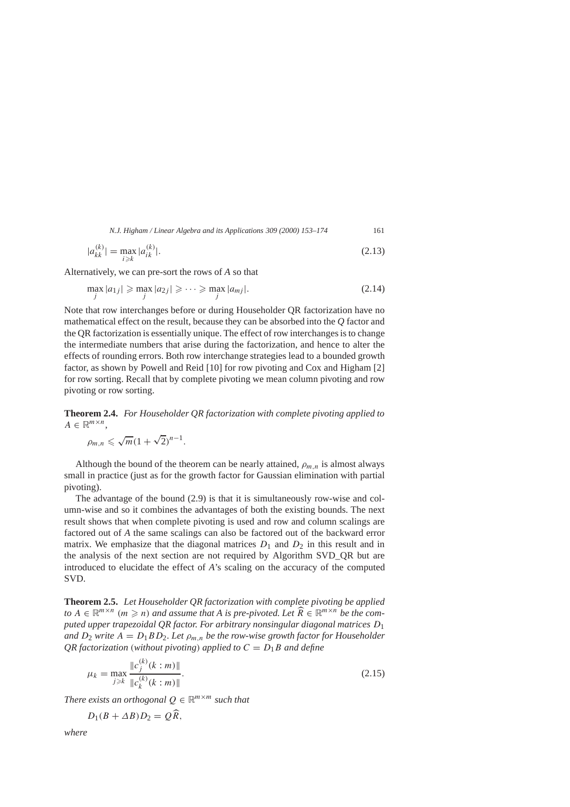*N.J. Higham / Linear Algebra and its Applications 309 (2000) 153–174* 161

$$
|a_{kk}^{(k)}| = \max_{i \geq k} |a_{ik}^{(k)}|.
$$
\n(2.13)

Alternatively, we can pre-sort the rows of *A* so that

$$
\max_{j} |a_{1j}| \geqslant \max_{j} |a_{2j}| \geqslant \cdots \geqslant \max_{j} |a_{mj}|.
$$
\n(2.14)

Note that row interchanges before or during Householder QR factorization have no mathematical effect on the result, because they can be absorbed into the *Q* factor and the QR factorization is essentially unique. The effect of row interchanges is to change the intermediate numbers that arise during the factorization, and hence to alter the effects of rounding errors. Both row interchange strategies lead to a bounded growth factor, as shown by Powell and Reid [10] for row pivoting and Cox and Higham [2] for row sorting. Recall that by complete pivoting we mean column pivoting and row pivoting or row sorting.

**Theorem 2.4.** *For Householder QR factorization with complete pivoting applied to*  $A \in \mathbb{R}^{m \times n}$ ,

$$
\rho_{m,n} \leqslant \sqrt{m}(1+\sqrt{2})^{n-1}.
$$

Although the bound of the theorem can be nearly attained,  $\rho_{m,n}$  is almost always small in practice (just as for the growth factor for Gaussian elimination with partial pivoting).

The advantage of the bound (2.9) is that it is simultaneously row-wise and column-wise and so it combines the advantages of both the existing bounds. The next result shows that when complete pivoting is used and row and column scalings are factored out of *A* the same scalings can also be factored out of the backward error matrix. We emphasize that the diagonal matrices  $D_1$  and  $D_2$  in this result and in the analysis of the next section are not required by Algorithm SVD\_QR but are introduced to elucidate the effect of *A*'s scaling on the accuracy of the computed SVD.

**Theorem 2.5.** *Let Householder QR factorization with complete pivoting be applied to A* ∈  $\mathbb{R}^{m \times n}$  *(m ≥ n) and assume that A is pre-pivoted.* Let  $\widehat{R}$  ∈  $\mathbb{R}^{m \times n}$  *be the computed upper trapezoidal QR factor. For arbitrary nonsingular diagonal matrices D*<sup>1</sup> *and*  $D_2$  *write*  $A = D_1 B D_2$ *. Let*  $\rho_{m,n}$  *be the row-wise growth factor for Householder QR factorization (without pivoting) applied to*  $C = D_1B$  *and define* 

$$
\mu_k = \max_{j \ge k} \frac{\|c_j^{(k)}(k:m)\|}{\|c_k^{(k)}(k:m)\|}.
$$
\n(2.15)

*There exists an orthogonal*  $Q \in \mathbb{R}^{m \times m}$  *such that* 

$$
D_1(B+\Delta B)D_2=Q\widehat{R},
$$

*where*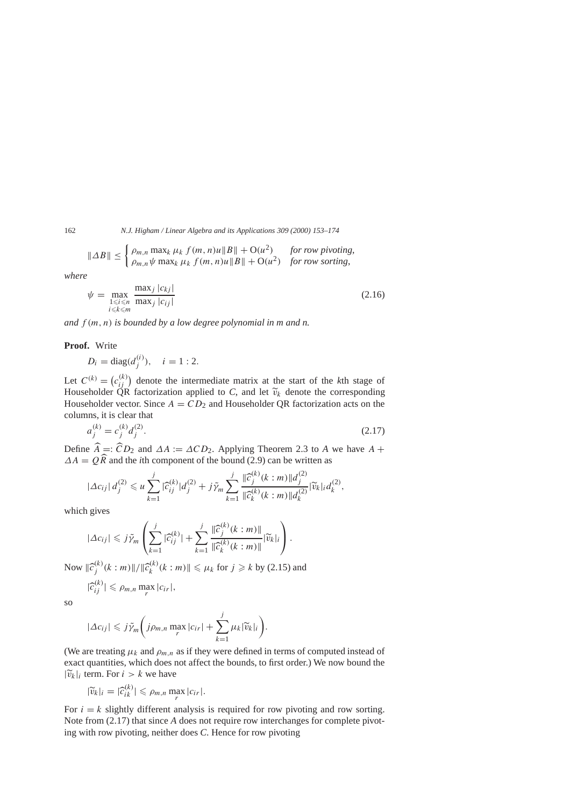162 *N.J. Higham / Linear Algebra and its Applications 309 (2000) 153–174*

$$
\|\Delta B\| \le \begin{cases} \rho_{m,n} \max_k \mu_k f(m,n)u \|B\| + \mathcal{O}(u^2) & \text{for row pivoting,} \\ \rho_{m,n} \psi \max_k \mu_k f(m,n)u \|B\| + \mathcal{O}(u^2) & \text{for row sorting,} \end{cases}
$$

*where*

$$
\psi = \max_{\substack{1 \le i \le n \\ i \le k \le m}} \frac{\max_j |c_{kj}|}{\max_j |c_{ij}|} \tag{2.16}
$$

*and f (m, n) is bounded by a low degree polynomial in m and n.*

**Proof.** Write

$$
D_i = \text{diag}(d_i^{(i)}), \quad i = 1:2.
$$

Let  $C^{(k)} = (c_{ii}^{(k)})$  denote the intermediate matrix at the start of the *k*th stage of Householder  $\overrightarrow{QR}$  factorization applied to *C*, and let  $\widetilde{v}_k$  denote the corresponding Householder vector. Since  $A - CD$  and Householder OR factorization acts on the Householder vector. Since  $A = CD_2$  and Householder QR factorization acts on the columns, it is clear that

$$
a_j^{(k)} = c_j^{(k)} d_j^{(2)}.
$$
\n(2.17)

Define  $\hat{A} =: \hat{C}D_2$  and  $\Delta A := \Delta C D_2$ . Applying Theorem 2.3 to *A* we have  $A +$  $\Delta A = Q\hat{R}$  and the *i*th component of the bound (2.9) can be written as

$$
|\Delta c_{ij}| d_j^{(2)} \leq u \sum_{k=1}^j |\widehat{c}_{ij}^{(k)}| d_j^{(2)} + j \tilde{\gamma}_m \sum_{k=1}^j \frac{\|\widehat{c}_j^{(k)}(k:m)\| d_j^{(2)}}{\|\widehat{c}_k^{(k)}(k:m)\| d_k^{(2)}} |\widetilde{v}_k|_i d_k^{(2)},
$$

which gives

$$
|\Delta c_{ij}| \leqslant j\tilde{\gamma}_m\left(\sum_{k=1}^j|\widehat{c}_{ij}^{(k)}|+\sum_{k=1}^j\frac{\|\widehat{c}_j^{(k)}(k:m)\|}{\|\widehat{c}_k^{(k)}(k:m)\|}\|\widetilde{v}_k\|_i\right).
$$

Now  $\|\hat{c}_j^{(k)}(k : m)\| / \|\hat{c}_k^{(k)}(k : m)\| \le \mu_k$  for  $j \ge k$  by (2.15) and  $|\widehat{c}_{ij}^{(k)}| \le \rho_{m,n} \max_{r} |c_{ir}|,$ 

so

$$
|\Delta c_{ij}| \leqslant j\tilde{\gamma}_m\bigg(j\rho_{m,n}\max_{r}|c_{ir}|+\sum_{k=1}^j\mu_k|\widetilde{v}_k|_i\bigg).
$$

(We are treating  $\mu_k$  and  $\rho_{m,n}$  as if they were defined in terms of computed instead of exact quantities, which does not affect the bounds, to first order.) We now bound the  $|\widetilde{v}_k|_i$  term. For  $i > k$  we have

$$
|\widetilde{v}_k|_i = |\widehat{c}_{ik}^{(k)}| \leq \rho_{m,n} \max_{r} |c_{ir}|.
$$

For  $i = k$  slightly different analysis is required for row pivoting and row sorting. Note from (2.17) that since *A* does not require row interchanges for complete pivoting with row pivoting, neither does *C*. Hence for row pivoting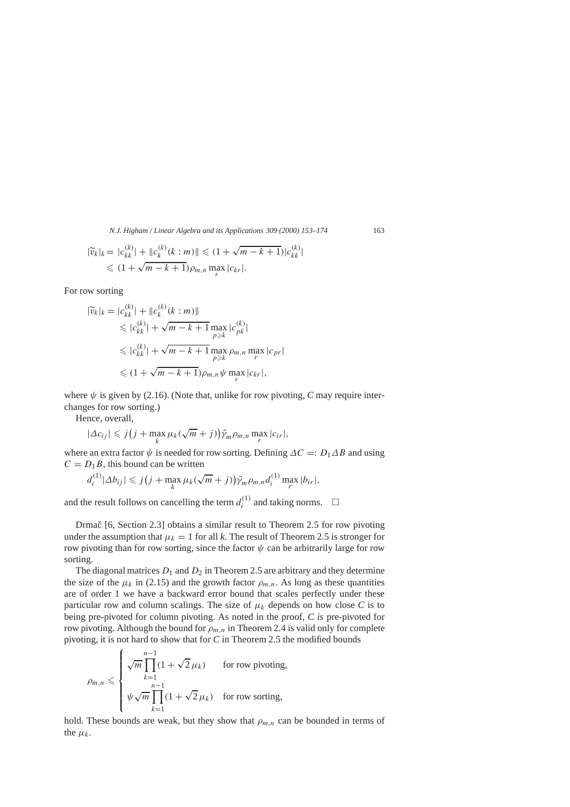*N.J. Higham / Linear Algebra and its Applications 309 (2000) 153–174* 163

$$
|\widetilde{v}_k|_k = |c_{kk}^{(k)}| + ||c_k^{(k)}(k:m)|| \le (1 + \sqrt{m-k+1})|c_{kk}^{(k)}|
$$
  

$$
\le (1 + \sqrt{m-k+1})\rho_{m,n} \max_{r} |c_{kr}|.
$$

For row sorting

$$
|\widetilde{v}_k|_k = |c_{kk}^{(k)}| + ||c_k^{(k)}(k:m)||
$$
  
\n
$$
\leq |c_{kk}^{(k)}| + \sqrt{m-k+1} \max_{p \geq k} |c_{pk}^{(k)}|
$$
  
\n
$$
\leq |c_{kk}^{(k)}| + \sqrt{m-k+1} \max_{p \geq k} \rho_{m,n} \max_{r} |c_{pr}|
$$
  
\n
$$
\leq (1 + \sqrt{m-k+1}) \rho_{m,n} \psi \max_{r} |c_{kr}|,
$$

where  $\psi$  is given by (2.16). (Note that, unlike for row pivoting, C may require interchanges for row sorting.)

Hence, overall,

$$
|\Delta c_{ij}| \leqslant j(j + \max_k \mu_k(\sqrt{m} + j)) \tilde{\gamma}_m \rho_{m,n} \max_r |c_{ir}|,
$$

where an extra factor  $\psi$  is needed for row sorting. Defining  $\Delta C =: D_1 \Delta B$  and using  $C = D_1 B$ , this bound can be written

$$
d_i^{(1)}|\Delta b_{ij}| \leqslant j(j + \max_k \mu_k(\sqrt{m} + j))\tilde{\gamma}_m \rho_{m,n} d_i^{(1)} \max_r |b_{ir}|,
$$

and the result follows on cancelling the term  $d_i^{(1)}$  and taking norms.  $\Box$ 

Drmac  $[6, Section 2.3]$  obtains a similar result to Theorem 2.5 for row pivoting under the assumption that  $\mu_k = 1$  for all *k*. The result of Theorem 2.5 is stronger for row pivoting than for row sorting, since the factor  $\psi$  can be arbitrarily large for row sorting.

The diagonal matrices  $D_1$  and  $D_2$  in Theorem 2.5 are arbitrary and they determine the size of the  $\mu_k$  in (2.15) and the growth factor  $\rho_{m,n}$ . As long as these quantities are of order 1 we have a backward error bound that scales perfectly under these particular row and column scalings. The size of  $\mu_k$  depends on how close C is to being pre-pivoted for column pivoting. As noted in the proof, *C is* pre-pivoted for row pivoting. Although the bound for  $\rho_{m,n}$  in Theorem 2.4 is valid only for complete pivoting, it is not hard to show that for *C* in Theorem 2.5 the modified bounds

$$
\rho_{m,n} \leqslant \begin{cases} \sqrt{m} \prod_{k=1}^{n-1} (1 + \sqrt{2} \,\mu_k) & \text{for row pivoting,} \\ \psi \sqrt{m} \prod_{k=1}^{n-1} (1 + \sqrt{2} \,\mu_k) & \text{for row sorting,} \end{cases}
$$

hold. These bounds are weak, but they show that  $\rho_{m,n}$  can be bounded in terms of the  $\mu_k$ .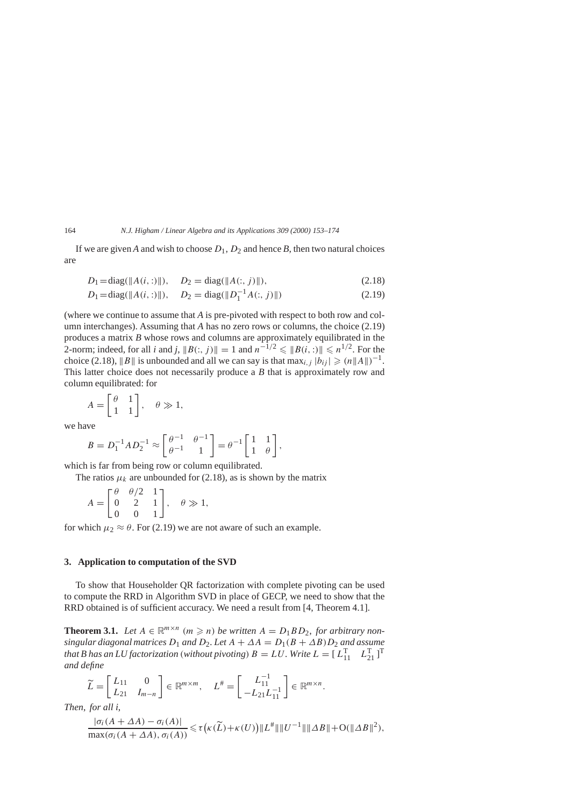If we are given *A* and wish to choose  $D_1$ ,  $D_2$  and hence *B*, then two natural choices are

$$
D_1 = \text{diag}(\|A(i, :)\|), \quad D_2 = \text{diag}(\|A(:, j)\|), \tag{2.18}
$$

$$
D_1 = \text{diag}(\|A(i, :)\|), \quad D_2 = \text{diag}(\|D_1^{-1}A(:, j)\|)
$$
\n(2.19)

(where we continue to assume that *A* is pre-pivoted with respect to both row and column interchanges). Assuming that *A* has no zero rows or columns, the choice (2.19) produces a matrix *B* whose rows and columns are approximately equilibrated in the 2-norm; indeed, for all *i* and *j*,  $||B(:, j)|| = 1$  and  $n^{-1/2} \le ||B(i,:)|| \le n^{1/2}$ . For the choice (2.18),  $||B||$  is unbounded and all we can say is that  $\max_{i,j} |b_{ij}| \geq (n||A||)^{-1}$ . This latter choice does not necessarily produce a *B* that is approximately row and column equilibrated: for

$$
A = \begin{bmatrix} \theta & 1 \\ 1 & 1 \end{bmatrix}, \quad \theta \gg 1,
$$

we have

$$
B = D_1^{-1} A D_2^{-1} \approx \begin{bmatrix} \theta^{-1} & \theta^{-1} \\ \theta^{-1} & 1 \end{bmatrix} = \theta^{-1} \begin{bmatrix} 1 & 1 \\ 1 & \theta \end{bmatrix},
$$

which is far from being row or column equilibrated.

The ratios  $\mu_k$  are unbounded for (2.18), as is shown by the matrix

$$
A = \begin{bmatrix} \theta & \theta/2 & 1 \\ 0 & 2 & 1 \\ 0 & 0 & 1 \end{bmatrix}, \quad \theta \gg 1,
$$

for which  $\mu_2 \approx \theta$ . For (2.19) we are not aware of such an example.

# **3. Application to computation of the SVD**

To show that Householder QR factorization with complete pivoting can be used to compute the RRD in Algorithm SVD in place of GECP, we need to show that the RRD obtained is of sufficient accuracy. We need a result from [4, Theorem 4.1].

**Theorem 3.1.** Let  $A \in \mathbb{R}^{m \times n}$   $(m \ge n)$  be written  $A = D_1 B D_2$ , for arbitrary non*singular diagonal matrices*  $D_1$  *and*  $D_2$ *. Let*  $A + \Delta A = D_1(B + \Delta B)D_2$  *and assume that B has an LU factorization* (*without pivoting*)  $B = LU$ . Write  $L = [L_{11}^T \quad L_{21}^T]^T$ *and define*

$$
\widetilde{L}=\begin{bmatrix}L_{11}&0\\L_{21}&I_{m-n}\end{bmatrix}\in\mathbb{R}^{m\times m},\quad L^\#=\begin{bmatrix}L_{11}^{-1}\\-L_{21}L_{11}^{-1}\end{bmatrix}\in\mathbb{R}^{m\times n}.
$$

*Then*, *for all i*,

$$
\frac{|\sigma_i(A+\Delta A)-\sigma_i(A)|}{\max(\sigma_i(A+\Delta A),\sigma_i(A))} \leq \tau\big(\kappa(\widetilde{L})+\kappa(U)\big) \|L^{\#}\| \|U^{-1}\| \| \Delta B \| + O(\|\Delta B\|^2),
$$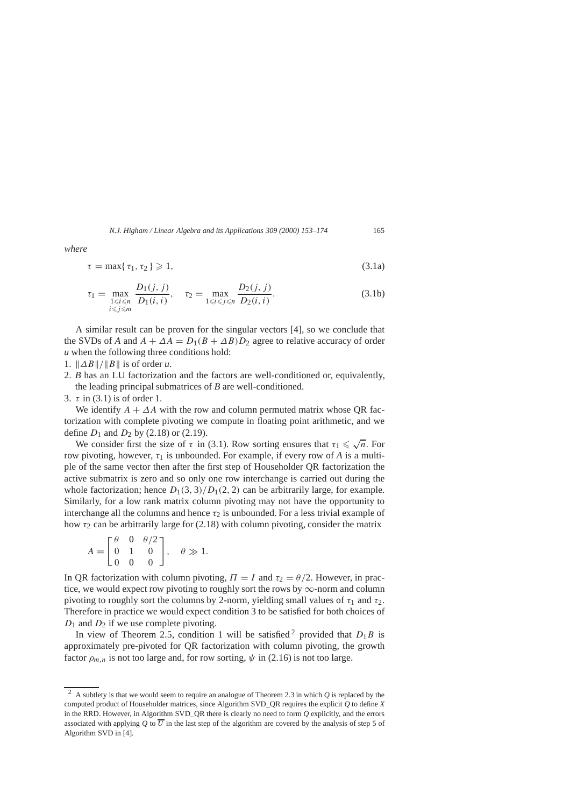*where*

$$
\tau = \max\{\tau_1, \tau_2\} \geqslant 1,\tag{3.1a}
$$

$$
\tau_1 = \max_{\substack{1 \le i \le n \\ i \le j \le m}} \frac{D_1(j, j)}{D_1(i, i)}, \quad \tau_2 = \max_{1 \le i \le j \le n} \frac{D_2(j, j)}{D_2(i, i)}.
$$
(3.1b)

A similar result can be proven for the singular vectors [4], so we conclude that the SVDs of *A* and  $A + \Delta A = D_1(B + \Delta B)D_2$  agree to relative accuracy of order *u* when the following three conditions hold:

- 1.  $\Vert \Delta B \Vert / \Vert B \Vert$  is of order *u*.
- 2. *B* has an LU factorization and the factors are well-conditioned or, equivalently, the leading principal submatrices of *B* are well-conditioned.
- 3. *τ* in (3.1) is of order 1.

We identify  $A + \Delta A$  with the row and column permuted matrix whose QR factorization with complete pivoting we compute in floating point arithmetic, and we define  $D_1$  and  $D_2$  by (2.18) or (2.19).

We consider first the size of  $\tau$  in (3.1). Row sorting ensures that  $\tau_1 \leq \sqrt{n}$ . For row pivoting, however,  $\tau_1$  is unbounded. For example, if every row of A is a multiple of the same vector then after the first step of Householder QR factorization the active submatrix is zero and so only one row interchange is carried out during the whole factorization; hence  $D_1(3, 3)/D_1(2, 2)$  can be arbitrarily large, for example. Similarly, for a low rank matrix column pivoting may not have the opportunity to interchange all the columns and hence  $\tau_2$  is unbounded. For a less trivial example of how  $\tau_2$  can be arbitrarily large for (2.18) with column pivoting, consider the matrix

$$
A = \begin{bmatrix} \theta & 0 & \theta/2 \\ 0 & 1 & 0 \\ 0 & 0 & 0 \end{bmatrix}, \quad \theta \gg 1.
$$

In QR factorization with column pivoting,  $\Pi = I$  and  $\tau_2 = \theta/2$ . However, in practice, we would expect row pivoting to roughly sort the rows by  $\infty$ -norm and column pivoting to roughly sort the columns by 2-norm, yielding small values of  $\tau_1$  and  $\tau_2$ . Therefore in practice we would expect condition 3 to be satisfied for both choices of *D*<sub>1</sub> and *D*<sub>2</sub> if we use complete pivoting.

In view of Theorem 2.5, condition 1 will be satisfied <sup>2</sup> provided that  $D_1B$  is approximately pre-pivoted for QR factorization with column pivoting, the growth factor  $\rho_{m,n}$  is not too large and, for row sorting,  $\psi$  in (2.16) is not too large.

<sup>2</sup> A subtlety is that we would seem to require an analogue of Theorem 2.3 in which *Q* is replaced by the computed product of Householder matrices, since Algorithm SVD\_QR requires the explicit *Q* to define *X* in the RRD. However, in Algorithm SVD\_QR there is clearly no need to form *Q* explicitly, and the errors associated with applying *Q* to  $\overline{U}$  in the last step of the algorithm are covered by the analysis of step 5 of Algorithm SVD in [4].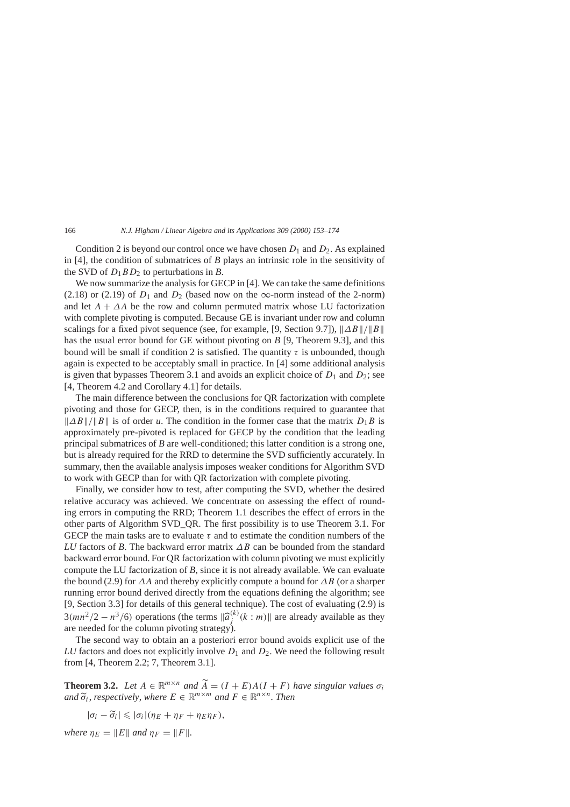Condition 2 is beyond our control once we have chosen  $D_1$  and  $D_2$ . As explained in [4], the condition of submatrices of *B* plays an intrinsic role in the sensitivity of the SVD of  $D_1BD_2$  to perturbations in *B*.

We now summarize the analysis for GECP in [4]. We can take the same definitions (2.18) or (2.19) of  $D_1$  and  $D_2$  (based now on the  $\infty$ -norm instead of the 2-norm) and let  $A + \Delta A$  be the row and column permuted matrix whose LU factorization with complete pivoting is computed. Because GE is invariant under row and column scalings for a fixed pivot sequence (see, for example, [9, Section 9.7]),  $||\Delta B||/||B||$ has the usual error bound for GE without pivoting on *B* [9, Theorem 9.3], and this bound will be small if condition 2 is satisfied. The quantity  $\tau$  is unbounded, though again is expected to be acceptably small in practice. In [4] some additional analysis is given that bypasses Theorem 3.1 and avoids an explicit choice of  $D_1$  and  $D_2$ ; see [4, Theorem 4.2 and Corollary 4.1] for details.

The main difference between the conclusions for QR factorization with complete pivoting and those for GECP, then, is in the conditions required to guarantee that *N*aB<sup>k</sup>/<sup>*N*</sup>B<sup>k</sup> is of order *u*. The condition in the former case that the matrix *D*<sub>1</sub>*B* is approximately pre-pivoted is replaced for GECP by the condition that the leading principal submatrices of *B* are well-conditioned; this latter condition is a strong one, but is already required for the RRD to determine the SVD sufficiently accurately. In summary, then the available analysis imposes weaker conditions for Algorithm SVD to work with GECP than for with QR factorization with complete pivoting.

Finally, we consider how to test, after computing the SVD, whether the desired relative accuracy was achieved. We concentrate on assessing the effect of rounding errors in computing the RRD; Theorem 1.1 describes the effect of errors in the other parts of Algorithm SVD\_QR. The first possibility is to use Theorem 3.1. For GECP the main tasks are to evaluate *τ* and to estimate the condition numbers of the *LU* factors of *B*. The backward error matrix *∆B* can be bounded from the standard backward error bound. For QR factorization with column pivoting we must explicitly compute the LU factorization of *B*, since it is not already available. We can evaluate the bound (2.9) for *∆A* and thereby explicitly compute a bound for *∆B* (or a sharper running error bound derived directly from the equations defining the algorithm; see [9, Section 3.3] for details of this general technique). The cost of evaluating (2.9) is  $3(mn^2/2 - n^3/6)$  operations (the terms  $\|\hat{a}_j^{(k)}(k : m)\|$  are already available as they are needed for the column pivoting strategy).

The second way to obtain an a posteriori error bound avoids explicit use of the *LU* factors and does not explicitly involve *D*<sup>1</sup> and *D*2. We need the following result from [4, Theorem 2.2; 7, Theorem 3.1].

**Theorem 3.2.** *Let*  $A \in \mathbb{R}^{m \times n}$  *and*  $\widetilde{A} = (I + E)A(I + F)$  *have singular values*  $\sigma_i$  $\widetilde{\sigma}_i$ , *respectively*, *where*  $E \in \mathbb{R}^{m \times m}$  *and*  $F \in \mathbb{R}^{n \times n}$ . *Then* 

 $|\sigma_i - \widetilde{\sigma}_i| \leqslant |\sigma_i|(\eta_E + \eta_F + \eta_E \eta_F),$ 

*where*  $\eta_E = ||E||$  *and*  $\eta_F = ||F||$ .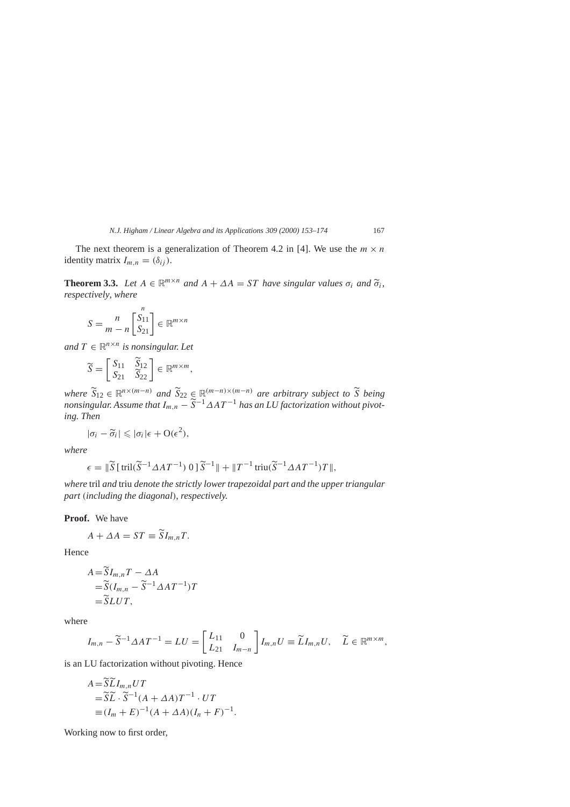The next theorem is a generalization of Theorem 4.2 in [4]. We use the  $m \times n$ identity matrix  $I_{m,n} = (\delta_{ij})$ .

**Theorem 3.3.** *Let*  $A \in \mathbb{R}^{m \times n}$  *and*  $A + \Delta A = ST$  *have singular values*  $\sigma_i$  *and*  $\tilde{\sigma}_i$ *, respectively*, *where*

$$
S = \frac{n}{m - n} \begin{bmatrix} S_{11} \\ S_{21} \end{bmatrix} \in \mathbb{R}^{m \times n}
$$

*n*

*and*  $T \in \mathbb{R}^{n \times n}$  *is nonsingular. Let* 

$$
\widetilde{S} = \begin{bmatrix} S_{11} & \widetilde{S}_{12} \\ S_{21} & \widetilde{S}_{22} \end{bmatrix} \in \mathbb{R}^{m \times m},
$$

*where*  $\widetilde{S}_{12} \in \mathbb{R}^{n \times (m-n)}$  and  $\widetilde{S}_{22} \in \mathbb{R}^{(m-n) \times (m-n)}$  are arbitrary subject to  $\widetilde{S}$  being<br>provided as  $A \subset \widetilde{S}_{n-1}$  and  $\widetilde{S}_{n-1}$  and  $A \subset I$  because *W fast via throughland arbitrary nonsingular. Assume that*  $I_{m,n} - \widetilde{S}^{-1} \Delta AT^{-1}$  *has an LU factorization without pivoting. Then*

$$
|\sigma_i - \widetilde{\sigma}_i| \leq |\sigma_i| \epsilon + O(\epsilon^2),
$$

*where*

$$
\epsilon = \|\widetilde{S}\left[\mathrm{tril}(\widetilde{S}^{-1}\Delta AT^{-1})\ 0\right]\widetilde{S}^{-1}\| + \|T^{-1}\mathrm{triu}(\widetilde{S}^{-1}\Delta AT^{-1})T\|,
$$

*where* tril *and* triu *denote the strictly lower trapezoidal part and the upper triangular part (including the diagonal)*, *respectively.*

**Proof.** We have

$$
A + \Delta A = ST \equiv \widetilde{S}I_{m,n}T.
$$

Hence

$$
A = \widetilde{S}I_{m,n}T - \Delta A
$$
  
=  $\widetilde{S}(I_{m,n} - \widetilde{S}^{-1}\Delta AT^{-1})T$   
=  $\widetilde{S}LUT$ ,

where

$$
I_{m,n} - \widetilde{S}^{-1} \Delta A T^{-1} = LU = \begin{bmatrix} L_{11} & 0 \\ L_{21} & I_{m-n} \end{bmatrix} I_{m,n} U \equiv \widetilde{L} I_{m,n} U, \quad \widetilde{L} \in \mathbb{R}^{m \times m},
$$

is an LU factorization without pivoting. Hence

$$
A = \widetilde{SL}I_{m,n}UT
$$
  
=  $\widetilde{SL} \cdot \widetilde{S}^{-1}(A + \Delta A)T^{-1} \cdot UT$   
\equiv  $(I_m + E)^{-1}(A + \Delta A)(I_n + F)^{-1}$ .

Working now to first order,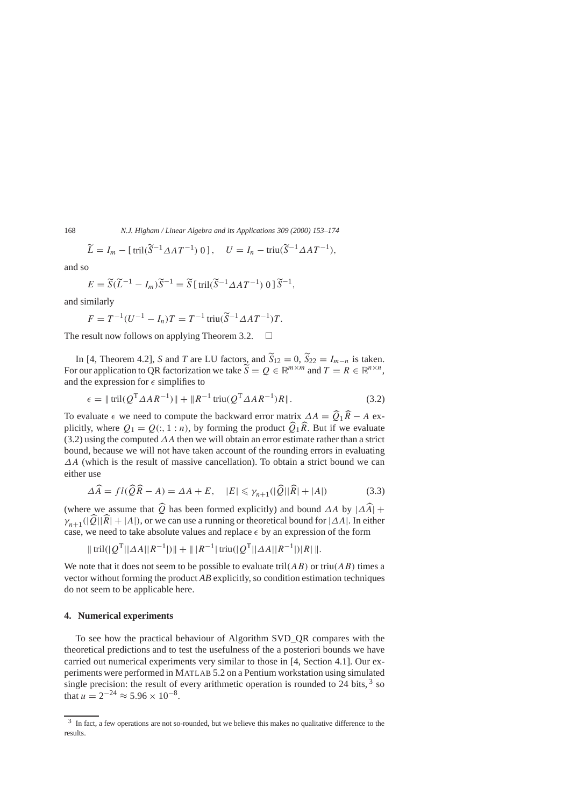$$
\widetilde{L} = I_m - [\text{tril}(\widetilde{S}^{-1} \Delta A T^{-1}) 0], \quad U = I_n - \text{triu}(\widetilde{S}^{-1} \Delta A T^{-1}),
$$

and so

$$
E = \widetilde{S}(\widetilde{L}^{-1} - I_m)\widetilde{S}^{-1} = \widetilde{S} \left[ \operatorname{tril}(\widetilde{S}^{-1} \Delta A T^{-1}) \ 0 \right] \widetilde{S}^{-1},
$$

and similarly

$$
F = T^{-1}(U^{-1} - I_n)T = T^{-1} \text{triu}(\widetilde{S}^{-1} \Delta A T^{-1})T.
$$

The result now follows on applying Theorem 3.2.  $\Box$ 

In [4, Theorem 4.2], *S* and *T* are LU factors, and  $\widetilde{S}_{12} = 0$ ,  $\widetilde{S}_{22} = I_{m-n}$  is taken. For our application to QR factorization we take  $\widetilde{S} = Q \in \mathbb{R}^{m \times m}$  and  $T = R \in \mathbb{R}^{n \times n}$ , and the expression for  $\epsilon$  simplifies to

$$
\epsilon = \| \text{tril}(Q^{\text{T}} \Delta AR^{-1}) \| + \| R^{-1} \text{triu}(Q^{\text{T}} \Delta AR^{-1}) R \|.
$$
 (3.2)

To evaluate  $\epsilon$  we need to compute the backward error matrix  $\Delta A = \widehat{Q}_1 \widehat{R} - A$  ex-<br>plicitly where  $\widehat{Q}_1$   $\widehat{Q}_2$  (*b*, 1*km*) by farming the graduate  $\widehat{Q}_1 \widehat{R}$ . But if we surplusted plicitly, where  $Q_1 = Q(:, 1:n)$ , by forming the product  $\widehat{Q}_1 \widehat{R}$ . But if we evaluate (3.2) using the computed *∆A* then we will obtain an error estimate rather than a strict bound, because we will not have taken account of the rounding errors in evaluating *∆A* (which is the result of massive cancellation). To obtain a strict bound we can either use

$$
\Delta \widehat{A} = fl(\widehat{Q}\widehat{R} - A) = \Delta A + E, \quad |E| \leq \gamma_{n+1}(|\widehat{Q}||\widehat{R}| + |A|)
$$
(3.3)

(where we assume that  $\widehat{Q}$  has been formed explicitly) and bound *∆A* by  $|\Delta \widehat{A}| +$  $\gamma_{n+1}$ ( $|\widehat{Q}||\widehat{R}|+|A|$ ), or we can use a running or theoretical bound for  $|∆A|$ . In either case, we need to take absolute values and replace  $\epsilon$  by an expression of the form

$$
\|\operatorname{tril}(|Q^T||\Delta A||R^{-1}|)\| + \|\,|R^{-1}|\operatorname{triu}(|Q^T||\Delta A||R^{-1}|)|R|\,\|.
$$

We note that it does not seem to be possible to evaluate tril( $AB$ ) or triu( $AB$ ) times a vector without forming the product *AB* explicitly, so condition estimation techniques do not seem to be applicable here.

#### **4. Numerical experiments**

To see how the practical behaviour of Algorithm SVD\_QR compares with the theoretical predictions and to test the usefulness of the a posteriori bounds we have carried out numerical experiments very similar to those in [4, Section 4.1]. Our experiments were performed in MATLAB 5.2 on a Pentium workstation using simulated single precision: the result of every arithmetic operation is rounded to 24 bits,  $3$  so that  $u = 2^{-24} \approx 5.96 \times 10^{-8}$ .

<sup>&</sup>lt;sup>3</sup> In fact, a few operations are not so-rounded, but we believe this makes no qualitative difference to the results.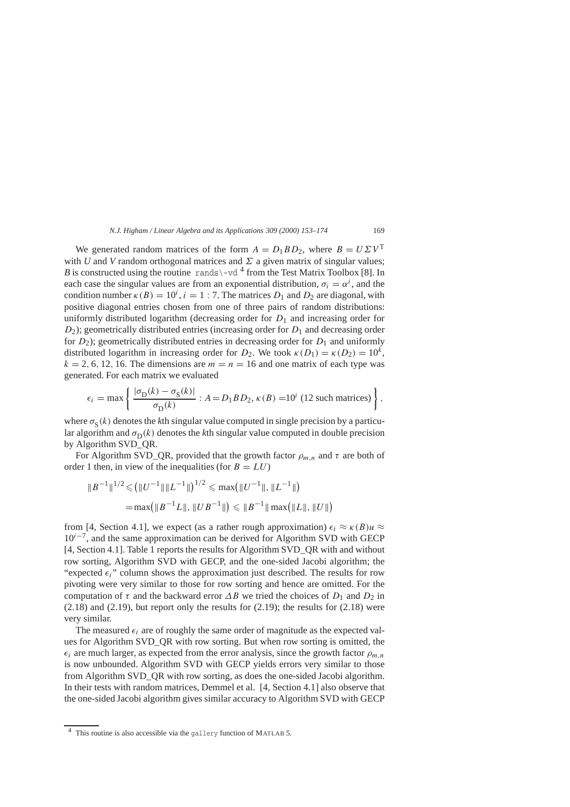We generated random matrices of the form  $A = D_1 B D_2$ , where  $B = U \Sigma V^T$ with *U* and *V* random orthogonal matrices and  $\Sigma$  a given matrix of singular values; *B* is constructed using the routine rands\-vd  $^4$  from the Test Matrix Toolbox [8]. In each case the singular values are from an exponential distribution,  $\sigma_i = \alpha^i$ , and the condition number  $\kappa(B) = 10^i$ ,  $i = 1 : 7$ . The matrices  $D_1$  and  $D_2$  are diagonal, with positive diagonal entries chosen from one of three pairs of random distributions: uniformly distributed logarithm (decreasing order for  $D_1$  and increasing order for *D*<sub>2</sub>); geometrically distributed entries (increasing order for *D*<sub>1</sub> and decreasing order for  $D_2$ ); geometrically distributed entries in decreasing order for  $D_1$  and uniformly distributed logarithm in increasing order for  $D_2$ . We took  $\kappa(D_1) = \kappa(D_2) = 10^k$ ,  $k = 2, 6, 12, 16$ . The dimensions are  $m = n = 16$  and one matrix of each type was generated. For each matrix we evaluated

$$
\epsilon_i = \max \left\{ \frac{|\sigma_{\rm D}(k) - \sigma_{\rm S}(k)|}{\sigma_{\rm D}(k)} : A = D_1 B D_2, \kappa(B) = 10^i \text{ (12 such matrices)} \right\},\,
$$

where  $\sigma_{\rm s}(k)$  denotes the *k*th singular value computed in single precision by a particular algorithm and  $\sigma_D(k)$  denotes the *k*th singular value computed in double precision by Algorithm SVD\_QR.

For Algorithm SVD\_QR, provided that the growth factor  $\rho_{m,n}$  and  $\tau$  are both of order 1 then, in view of the inequalities (for  $B = LU$ )

$$
||B^{-1}||^{1/2} \le (||U^{-1}|| ||L^{-1}||)^{1/2} \le \max (||U^{-1}||, ||L^{-1}||)
$$
  
= max(||B^{-1}L||, ||UB^{-1}||) < ||B^{-1}|| max (||L||, ||U||)

from [4, Section 4.1], we expect (as a rather rough approximation)  $\epsilon_i \approx \kappa(B)u \approx$ 10*i*<sup>−</sup>7, and the same approximation can be derived for Algorithm SVD with GECP [4, Section 4.1]. Table 1 reports the results for Algorithm SVD\_QR with and without row sorting, Algorithm SVD with GECP, and the one-sided Jacobi algorithm; the "expected  $\epsilon_i$ " column shows the approximation just described. The results for row pivoting were very similar to those for row sorting and hence are omitted. For the computation of  $\tau$  and the backward error  $\Delta B$  we tried the choices of  $D_1$  and  $D_2$  in  $(2.18)$  and  $(2.19)$ , but report only the results for  $(2.19)$ ; the results for  $(2.18)$  were very similar.

The measured  $\epsilon_i$  are of roughly the same order of magnitude as the expected values for Algorithm SVD\_QR with row sorting. But when row sorting is omitted, the  $\epsilon_i$  are much larger, as expected from the error analysis, since the growth factor  $\rho_{m,n}$ is now unbounded. Algorithm SVD with GECP yields errors very similar to those from Algorithm SVD\_QR with row sorting, as does the one-sided Jacobi algorithm. In their tests with random matrices, Demmel et al. [4, Section 4.1] also observe that the one-sided Jacobi algorithm gives similar accuracy to Algorithm SVD with GECP

<sup>4</sup> This routine is also accessible via the gallery function of MATLAB 5.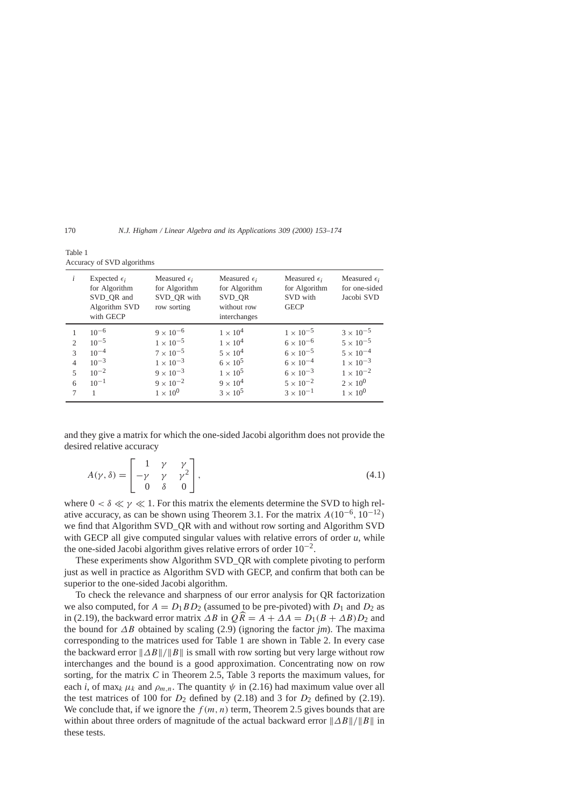| i                                                                | Expected $\epsilon_i$<br>for Algorithm<br>SVD_QR and<br>Algorithm SVD<br>with GECP | Measured $\epsilon_i$<br>for Algorithm<br>SVD_QR with<br>row sorting                                       | Measured $\epsilon_i$<br>for Algorithm<br>SVD_QR<br>without row<br>interchanges             | Measured $\epsilon_i$<br>for Algorithm<br>SVD with<br><b>GECP</b>                                          | Measured $\epsilon_i$<br>for one-sided<br>Jacobi SVD                                                       |
|------------------------------------------------------------------|------------------------------------------------------------------------------------|------------------------------------------------------------------------------------------------------------|---------------------------------------------------------------------------------------------|------------------------------------------------------------------------------------------------------------|------------------------------------------------------------------------------------------------------------|
| 2<br>$\mathcal{R}$<br>$\overline{4}$<br>$\overline{\phantom{0}}$ | $10^{-6}$<br>$10^{-5}$<br>$10^{-4}$<br>$10^{-3}$<br>$10^{-2}$                      | $9 \times 10^{-6}$<br>$1 \times 10^{-5}$<br>$7 \times 10^{-5}$<br>$1 \times 10^{-3}$<br>$9 \times 10^{-3}$ | $1 \times 10^4$<br>$1 \times 10^4$<br>$5 \times 10^4$<br>$6 \times 10^5$<br>$1 \times 10^5$ | $1 \times 10^{-5}$<br>$6 \times 10^{-6}$<br>$6 \times 10^{-5}$<br>$6 \times 10^{-4}$<br>$6 \times 10^{-3}$ | $3 \times 10^{-5}$<br>$5 \times 10^{-5}$<br>$5 \times 10^{-4}$<br>$1 \times 10^{-3}$<br>$1 \times 10^{-2}$ |
| 6                                                                | $10^{-1}$<br>1                                                                     | $9 \times 10^{-2}$<br>$1 \times 10^{0}$                                                                    | $9 \times 10^4$<br>$3 \times 10^5$                                                          | $5 \times 10^{-2}$<br>$3 \times 10^{-1}$                                                                   | $2 \times 10^{0}$<br>$1 \times 10^{0}$                                                                     |

| Table 1 |                            |
|---------|----------------------------|
|         | Accuracy of SVD algorithms |

and they give a matrix for which the one-sided Jacobi algorithm does not provide the desired relative accuracy

$$
A(\gamma, \delta) = \begin{bmatrix} 1 & \gamma & \gamma \\ -\gamma & \gamma & \gamma^2 \\ 0 & \delta & 0 \end{bmatrix},
$$
 (4.1)

where  $0 < \delta \ll \gamma \ll 1$ . For this matrix the elements determine the SVD to high relative accuracy, as can be shown using Theorem 3.1. For the matrix  $A(10^{-6}, 10^{-12})$ we find that Algorithm SVD\_QR with and without row sorting and Algorithm SVD with GECP all give computed singular values with relative errors of order *u*, while the one-sided Jacobi algorithm gives relative errors of order  $10^{-2}$ .

These experiments show Algorithm SVD\_QR with complete pivoting to perform just as well in practice as Algorithm SVD with GECP, and confirm that both can be superior to the one-sided Jacobi algorithm.

To check the relevance and sharpness of our error analysis for QR factorization we also computed, for  $A = D_1 B D_2$  (assumed to be pre-pivoted) with  $D_1$  and  $D_2$  as in (2.19), the backward error matrix  $\Delta B$  in  $\widehat{QR} = A + \Delta A = D_1(B + \Delta B)D_2$  and the bound for *∆B* obtained by scaling (2.9) (ignoring the factor *jm*). The maxima corresponding to the matrices used for Table 1 are shown in Table 2. In every case the backward error  $\|\Delta B\|/\|B\|$  is small with row sorting but very large without row interchanges and the bound is a good approximation. Concentrating now on row sorting, for the matrix *C* in Theorem 2.5, Table 3 reports the maximum values, for each *i*, of max<sub>*k*</sub>  $\mu_k$  and  $\rho_{m,n}$ . The quantity  $\psi$  in (2.16) had maximum value over all the test matrices of 100 for  $D_2$  defined by (2.18) and 3 for  $D_2$  defined by (2.19). We conclude that, if we ignore the  $f(m, n)$  term, Theorem 2.5 gives bounds that are within about three orders of magnitude of the actual backward error  $||\Delta B||/||B||$  in these tests.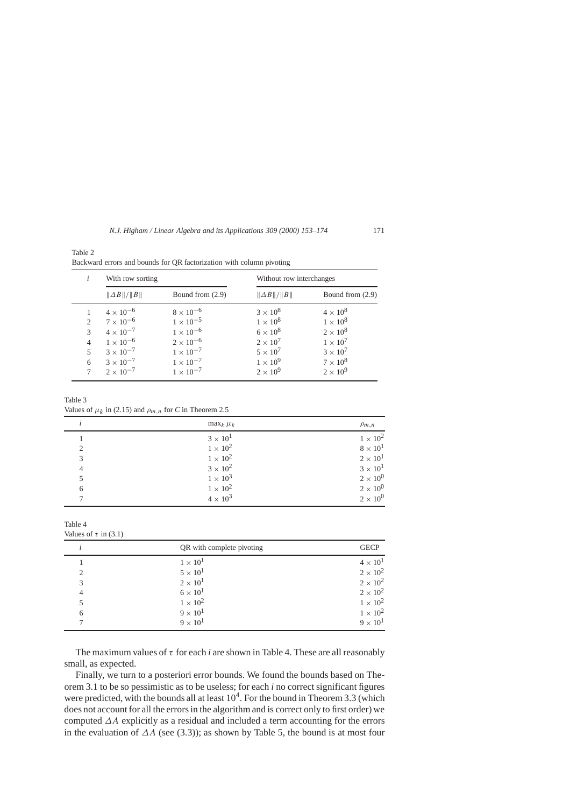|                | With row sorting     |                    | Without row interchanges |                    |  |
|----------------|----------------------|--------------------|--------------------------|--------------------|--|
|                | $  \Delta B  /  B  $ | Bound from $(2.9)$ | $\ \Delta B\ /\ B\ $     | Bound from $(2.9)$ |  |
|                | $4 \times 10^{-6}$   | $8 \times 10^{-6}$ | $3 \times 10^8$          | $4 \times 10^8$    |  |
| $\overline{c}$ | $7 \times 10^{-6}$   | $1 \times 10^{-5}$ | $1 \times 10^8$          | $1 \times 10^8$    |  |
| 3              | $4 \times 10^{-7}$   | $1 \times 10^{-6}$ | $6 \times 10^8$          | $2 \times 10^8$    |  |
| 4              | $1 \times 10^{-6}$   | $2 \times 10^{-6}$ | $2 \times 10^7$          | $1 \times 10^7$    |  |
| 5              | $3 \times 10^{-7}$   | $1 \times 10^{-7}$ | $5 \times 10^7$          | $3 \times 10^7$    |  |
| 6              | $3 \times 10^{-7}$   | $1 \times 10^{-7}$ | $1 \times 10^9$          | $7 \times 10^8$    |  |
| 7              | $2 \times 10^{-7}$   | $1 \times 10^{-7}$ | $2 \times 10^9$          | $2 \times 10^9$    |  |

Backward errors and bounds for QR factorization with column pivoting

Table 3 Values of  $\mu_k$  in (2.15) and  $\rho_{m,n}$  for *C* in Theorem 2.5

|   | $\max_k \mu_k$    | $\rho_{m,n}$      |
|---|-------------------|-------------------|
|   | $3 \times 10^{1}$ | $1 \times 10^2$   |
| 2 | $1 \times 10^2$   | $8 \times 10^{1}$ |
|   | $1 \times 10^2$   | $2 \times 10^{1}$ |
|   | $3 \times 10^2$   | $3 \times 10^{1}$ |
|   | $1 \times 10^3$   | $2 \times 10^{0}$ |
| 6 | $1 \times 10^2$   | $2 \times 10^{0}$ |
|   | $4 \times 10^3$   | $2 \times 10^{0}$ |

Table 4

Table 2

Values of  $\tau$  in (3.1)

|   | QR with complete pivoting | <b>GECP</b>       |
|---|---------------------------|-------------------|
|   | $1 \times 10^{1}$         | $4 \times 10^{1}$ |
|   | $5 \times 10^{1}$         | $2 \times 10^2$   |
|   | $2 \times 10^{1}$         | $2 \times 10^2$   |
|   | $6 \times 10^{1}$         | $2 \times 10^2$   |
|   | $1 \times 10^2$           | $1 \times 10^2$   |
| 6 | $9 \times 10^{1}$         | $1 \times 10^2$   |
|   | $9 \times 10^1$           | $9 \times 10^1$   |
|   |                           |                   |

The maximum values of *τ* for each *i* are shown in Table 4. These are all reasonably small, as expected.

Finally, we turn to a posteriori error bounds. We found the bounds based on Theorem 3.1 to be so pessimistic as to be useless; for each *i* no correct significant figures were predicted, with the bounds all at least  $10^4$ . For the bound in Theorem 3.3 (which does not account for all the errors in the algorithm and is correct only to first order) we computed *∆A* explicitly as a residual and included a term accounting for the errors in the evaluation of *∆A* (see (3.3)); as shown by Table 5, the bound is at most four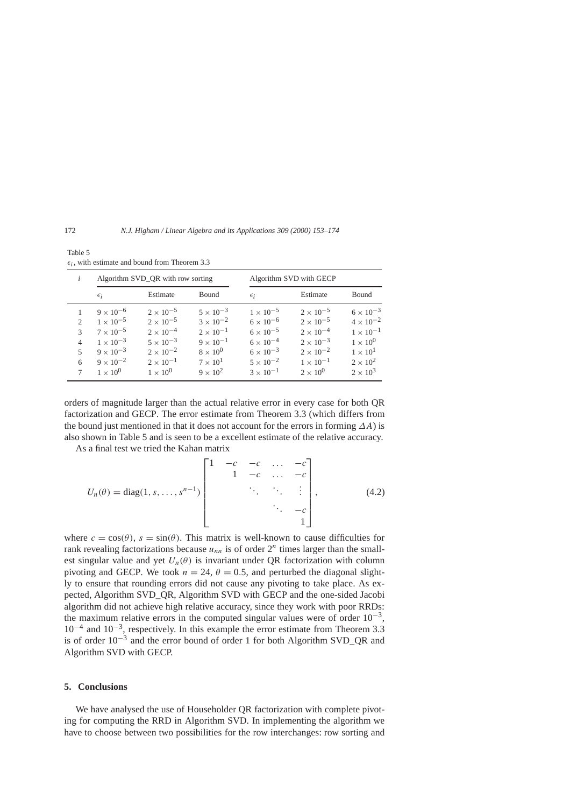|               | Algorithm SVD_QR with row sorting |                    |                    | Algorithm SVD with GECP |                    |                    |
|---------------|-----------------------------------|--------------------|--------------------|-------------------------|--------------------|--------------------|
|               | $\epsilon_i$                      | Estimate           | Bound              | $\epsilon_i$            | Estimate           | Bound              |
|               | $9 \times 10^{-6}$                | $2 \times 10^{-5}$ | $5 \times 10^{-3}$ | $1 \times 10^{-5}$      | $2 \times 10^{-5}$ | $6 \times 10^{-3}$ |
| $\mathcal{D}$ | $1 \times 10^{-5}$                | $2 \times 10^{-5}$ | $3 \times 10^{-2}$ | $6 \times 10^{-6}$      | $2 \times 10^{-5}$ | $4 \times 10^{-2}$ |
| $\mathcal{R}$ | $7 \times 10^{-5}$                | $2 \times 10^{-4}$ | $2 \times 10^{-1}$ | $6 \times 10^{-5}$      | $2 \times 10^{-4}$ | $1 \times 10^{-1}$ |
| 4             | $1 \times 10^{-3}$                | $5 \times 10^{-3}$ | $9 \times 10^{-1}$ | $6 \times 10^{-4}$      | $2 \times 10^{-3}$ | $1 \times 10^{0}$  |
| 5             | $9 \times 10^{-3}$                | $2 \times 10^{-2}$ | $8 \times 10^{0}$  | $6 \times 10^{-3}$      | $2 \times 10^{-2}$ | $1 \times 10^{1}$  |
| 6             | $9 \times 10^{-2}$                | $2 \times 10^{-1}$ | $7 \times 10^{1}$  | $5 \times 10^{-2}$      | $1 \times 10^{-1}$ | $2 \times 10^2$    |
|               | $1 \times 10^{0}$                 | $1 \times 10^{0}$  | $9 \times 10^{2}$  | $3 \times 10^{-1}$      | $2 \times 10^{0}$  | $2 \times 10^3$    |

Table 5  $\epsilon_i$ , with estimate and bound from Theorem 3.3

orders of magnitude larger than the actual relative error in every case for both QR factorization and GECP. The error estimate from Theorem 3.3 (which differs from the bound just mentioned in that it does not account for the errors in forming *∆A*) is also shown in Table 5 and is seen to be a excellent estimate of the relative accuracy.

As a final test we tried the Kahan matrix

$$
U_n(\theta) = \text{diag}(1, s, \dots, s^{n-1}) \begin{bmatrix} 1 & -c & -c & \dots & -c \\ & 1 & -c & \dots & -c \\ & & \ddots & \ddots & \vdots \\ & & & \ddots & -c \\ & & & & 1 \end{bmatrix}, \quad (4.2)
$$

where  $c = \cos(\theta)$ ,  $s = \sin(\theta)$ . This matrix is well-known to cause difficulties for rank revealing factorizations because  $u_{nn}$  is of order  $2^n$  times larger than the smallest singular value and yet  $U_n(\theta)$  is invariant under OR factorization with column pivoting and GECP. We took  $n = 24$ ,  $\theta = 0.5$ , and perturbed the diagonal slightly to ensure that rounding errors did not cause any pivoting to take place. As expected, Algorithm SVD\_QR, Algorithm SVD with GECP and the one-sided Jacobi algorithm did not achieve high relative accuracy, since they work with poor RRDs: the maximum relative errors in the computed singular values were of order  $10^{-3}$ ,  $10^{-4}$  and  $10^{-3}$ , respectively. In this example the error estimate from Theorem 3.3 is of order 10−<sup>3</sup> and the error bound of order 1 for both Algorithm SVD\_QR and Algorithm SVD with GECP.

# **5. Conclusions**

We have analysed the use of Householder QR factorization with complete pivoting for computing the RRD in Algorithm SVD. In implementing the algorithm we have to choose between two possibilities for the row interchanges: row sorting and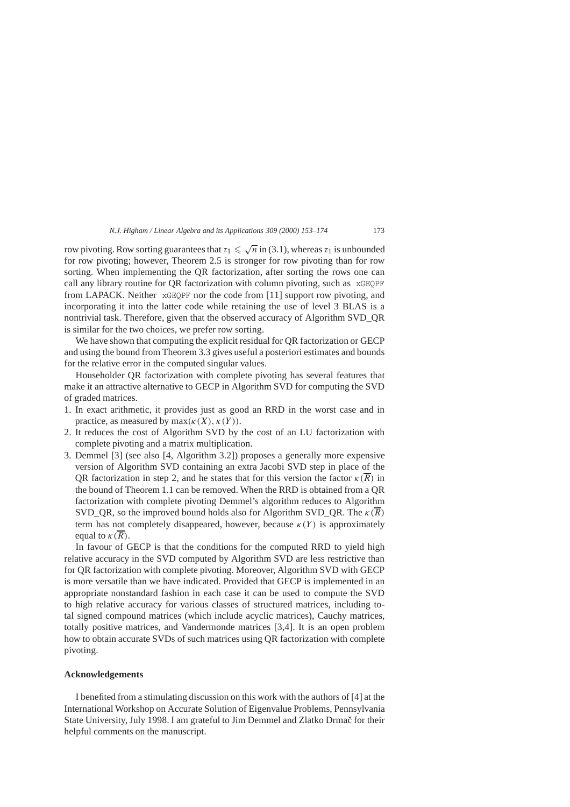row pivoting. Row sorting guarantees that  $τ_1 \n\leq \sqrt{n}$  in (3.1), whereas  $τ_1$  is unbounded for row pivoting; however, Theorem 2.5 is stronger for row pivoting than for row sorting. When implementing the QR factorization, after sorting the rows one can call any library routine for QR factorization with column pivoting, such as xGEQPF from LAPACK. Neither xGEQPF nor the code from [11] support row pivoting, and incorporating it into the latter code while retaining the use of level 3 BLAS is a nontrivial task. Therefore, given that the observed accuracy of Algorithm SVD\_QR is similar for the two choices, we prefer row sorting.

We have shown that computing the explicit residual for QR factorization or GECP and using the bound from Theorem 3.3 gives useful a posteriori estimates and bounds for the relative error in the computed singular values.

Householder QR factorization with complete pivoting has several features that make it an attractive alternative to GECP in Algorithm SVD for computing the SVD of graded matrices.

- 1. In exact arithmetic, it provides just as good an RRD in the worst case and in practice, as measured by  $max(\kappa(X), \kappa(Y))$ .
- 2. It reduces the cost of Algorithm SVD by the cost of an LU factorization with complete pivoting and a matrix multiplication.
- 3. Demmel [3] (see also [4, Algorithm 3.2]) proposes a generally more expensive version of Algorithm SVD containing an extra Jacobi SVD step in place of the QR factorization in step 2, and he states that for this version the factor  $\kappa(\overline{R})$  in the bound of Theorem 1.1 can be removed. When the RRD is obtained from a QR factorization with complete pivoting Demmel's algorithm reduces to Algorithm SVD QR, so the improved bound holds also for Algorithm SVD QR. The  $\kappa(\overline{R})$ term has not completely disappeared, however, because  $\kappa(Y)$  is approximately equal to  $\kappa(R)$ .

In favour of GECP is that the conditions for the computed RRD to yield high relative accuracy in the SVD computed by Algorithm SVD are less restrictive than for QR factorization with complete pivoting. Moreover, Algorithm SVD with GECP is more versatile than we have indicated. Provided that GECP is implemented in an appropriate nonstandard fashion in each case it can be used to compute the SVD to high relative accuracy for various classes of structured matrices, including total signed compound matrices (which include acyclic matrices), Cauchy matrices, totally positive matrices, and Vandermonde matrices [3,4]. It is an open problem how to obtain accurate SVDs of such matrices using QR factorization with complete pivoting.

## **Acknowledgements**

I benefited from a stimulating discussion on this work with the authors of [4] at the International Workshop on Accurate Solution of Eigenvalue Problems, Pennsylvania State University, July 1998. I am grateful to Jim Demmel and Zlatko Drmač for their helpful comments on the manuscript.